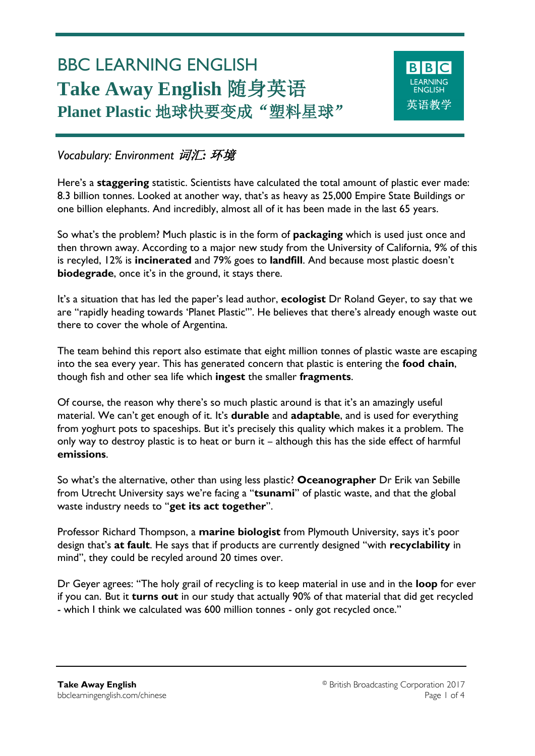# BBC LEARNING ENGLISH **Take Away English** 随身英语 **Planet Plastic** 地球快要变成"塑料星球"



*Vocabulary: Environment* 词汇*:* 环境

Ξ

Here's a **staggering** statistic. Scientists have calculated the total amount of plastic ever made: 8.3 billion tonnes. Looked at another way, that's as heavy as 25,000 Empire State Buildings or one billion elephants. And incredibly, almost all of it has been made in the last 65 years.

So what's the problem? Much plastic is in the form of **packaging** which is used just once and then thrown away. According to a major new study from the University of California, 9% of this is recyled, 12% is **incinerated** and 79% goes to **landfill**. And because most plastic doesn't **biodegrade**, once it's in the ground, it stays there.

It's a situation that has led the paper's lead author, **ecologist** Dr Roland Geyer, to say that we are "rapidly heading towards 'Planet Plastic'". He believes that there's already enough waste out there to cover the whole of Argentina.

The team behind this report also estimate that eight million tonnes of plastic waste are escaping into the sea every year. This has generated concern that plastic is entering the **food chain**, though fish and other sea life which **ingest** the smaller **fragments**.

Of course, the reason why there's so much plastic around is that it's an amazingly useful material. We can't get enough of it. It's **durable** and **adaptable**, and is used for everything from yoghurt pots to spaceships. But it's precisely this quality which makes it a problem. The only way to destroy plastic is to heat or burn it – although this has the side effect of harmful **emissions**.

So what's the alternative, other than using less plastic? **Oceanographer** Dr Erik van Sebille from Utrecht University says we're facing a "**tsunami**" of plastic waste, and that the global waste industry needs to "**get its act together**".

Professor Richard Thompson, a **marine biologist** from Plymouth University, says it's poor design that's **at fault**. He says that if products are currently designed "with **recyclability** in mind", they could be recyled around 20 times over.

Dr Geyer agrees: "The holy grail of recycling is to keep material in use and in the **loop** for ever if you can. But it **turns out** in our study that actually 90% of that material that did get recycled - which I think we calculated was 600 million tonnes - only got recycled once."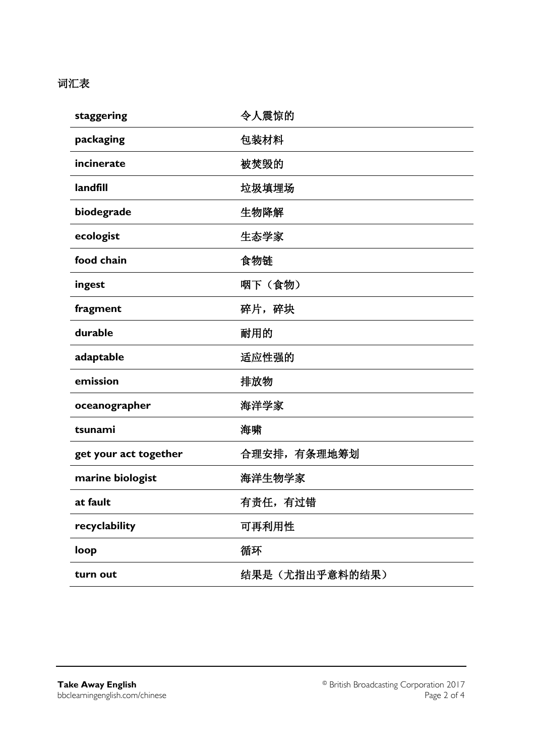## 词汇表

| staggering            | 令人震惊的          |  |
|-----------------------|----------------|--|
| packaging             | 包装材料           |  |
| incinerate            | 被焚毁的           |  |
| landfill              | 垃圾填埋场          |  |
| biodegrade            | 生物降解           |  |
| ecologist             | 生态学家           |  |
| food chain            | 食物链            |  |
| ingest                | 咽下(食物)         |  |
| fragment              | 碎片,碎块          |  |
| durable               | 耐用的            |  |
| adaptable             | 适应性强的          |  |
| emission              | 排放物            |  |
| oceanographer         | 海洋学家           |  |
| tsunami               | 海啸             |  |
| get your act together | 合理安排, 有条理地筹划   |  |
| marine biologist      | 海洋生物学家         |  |
| at fault              | 有责任,有过错        |  |
| recyclability         | 可再利用性          |  |
| loop                  | 循环             |  |
| turn out              | 结果是(尤指出乎意料的结果) |  |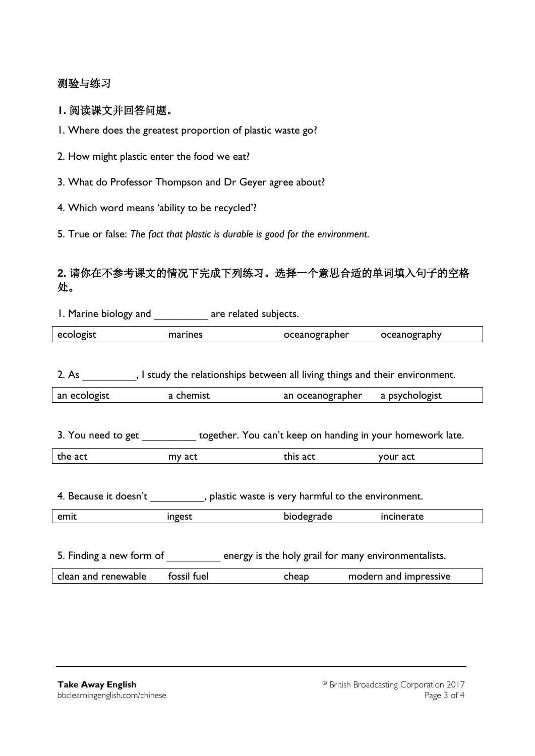### 测验与练习

#### **1.** 阅读课文并回答问题。

1. Where does the greatest proportion of plastic waste go?

2. How might plastic enter the food we eat?

3. What do Professor Thompson and Dr Geyer agree about?

4. Which word means 'ability to be recycled'?

5. True or false: *The fact that plastic is durable is good for the environment.*

## **2.** 请你在不参考课文的情况下完成下列练习。选择一个意思合适的单词填入句子的空格 处。

|                                                                                     | I. Marine biology and The Telated subjects. |                                 |                       |  |
|-------------------------------------------------------------------------------------|---------------------------------------------|---------------------------------|-----------------------|--|
| ecologist                                                                           | marines                                     | oceanographer                   | oceanography          |  |
|                                                                                     |                                             |                                 |                       |  |
| 2. As 3. I study the relationships between all living things and their environment. |                                             |                                 |                       |  |
| an ecologist                                                                        | a chemist                                   | an oceanographer a psychologist |                       |  |
|                                                                                     |                                             |                                 |                       |  |
| 3. You need to get state together. You can't keep on handing in your homework late. |                                             |                                 |                       |  |
| the act                                                                             | my act                                      | this act                        | your act              |  |
|                                                                                     |                                             |                                 |                       |  |
|                                                                                     |                                             |                                 |                       |  |
| emit                                                                                | ingest                                      | biodegrade                      | incinerate            |  |
|                                                                                     |                                             |                                 |                       |  |
| 5. Finding a new form of energy is the holy grail for many environmentalists.       |                                             |                                 |                       |  |
| clean and renewable                                                                 | fossil fuel                                 | cheap                           | modern and impressive |  |